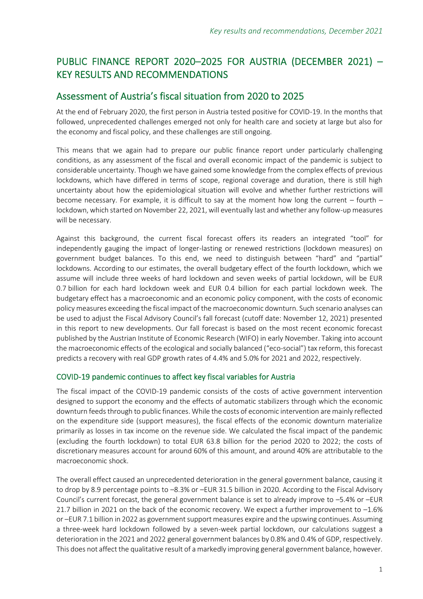# PUBLIC FINANCE REPORT 2020–2025 FOR AUSTRIA (DECEMBER 2021) – KEY RESULTS AND RECOMMENDATIONS

## Assessment of Austria's fiscal situation from 2020 to 2025

At the end of February 2020, the first person in Austria tested positive for COVID-19. In the months that followed, unprecedented challenges emerged not only for health care and society at large but also for the economy and fiscal policy, and these challenges are still ongoing.

This means that we again had to prepare our public finance report under particularly challenging conditions, as any assessment of the fiscal and overall economic impact of the pandemic is subject to considerable uncertainty. Though we have gained some knowledge from the complex effects of previous lockdowns, which have differed in terms of scope, regional coverage and duration, there is still high uncertainty about how the epidemiological situation will evolve and whether further restrictions will become necessary. For example, it is difficult to say at the moment how long the current – fourth – lockdown, which started on November 22, 2021, will eventually last and whether any follow-up measures will be necessary.

Against this background, the current fiscal forecast offers its readers an integrated "tool" for independently gauging the impact of longer-lasting or renewed restrictions (lockdown measures) on government budget balances. To this end, we need to distinguish between "hard" and "partial" lockdowns. According to our estimates, the overall budgetary effect of the fourth lockdown, which we assume will include three weeks of hard lockdown and seven weeks of partial lockdown, will be EUR 0.7 billion for each hard lockdown week and EUR 0.4 billion for each partial lockdown week. The budgetary effect has a macroeconomic and an economic policy component, with the costs of economic policy measures exceeding the fiscal impact of the macroeconomic downturn. Such scenario analyses can be used to adjust the Fiscal Advisory Council's fall forecast (cutoff date: November 12, 2021) presented in this report to new developments. Our fall forecast is based on the most recent economic forecast published by the Austrian Institute of Economic Research (WIFO) in early November. Taking into account the macroeconomic effects of the ecological and socially balanced ("eco-social") tax reform, this forecast predicts a recovery with real GDP growth rates of 4.4% and 5.0% for 2021 and 2022, respectively.

## COVID-19 pandemic continues to affect key fiscal variables for Austria

The fiscal impact of the COVID-19 pandemic consists of the costs of active government intervention designed to support the economy and the effects of automatic stabilizers through which the economic downturn feeds through to public finances. While the costs of economic intervention are mainly reflected on the expenditure side (support measures), the fiscal effects of the economic downturn materialize primarily as losses in tax income on the revenue side. We calculated the fiscal impact of the pandemic (excluding the fourth lockdown) to total EUR 63.8 billion for the period 2020 to 2022; the costs of discretionary measures account for around 60% of this amount, and around 40% are attributable to the macroeconomic shock.

The overall effect caused an unprecedented deterioration in the general government balance, causing it to drop by 8.9 percentage points to –8.3% or –EUR 31.5 billion in 2020. According to the Fiscal Advisory Council's current forecast, the general government balance is set to already improve to –5.4% or –EUR 21.7 billion in 2021 on the back of the economic recovery. We expect a further improvement to  $-1.6\%$ or –EUR 7.1 billion in 2022 as government support measures expire and the upswing continues. Assuming a three-week hard lockdown followed by a seven-week partial lockdown, our calculations suggest a deterioration in the 2021 and 2022 general government balances by 0.8% and 0.4% of GDP, respectively. This does not affect the qualitative result of a markedly improving general government balance, however.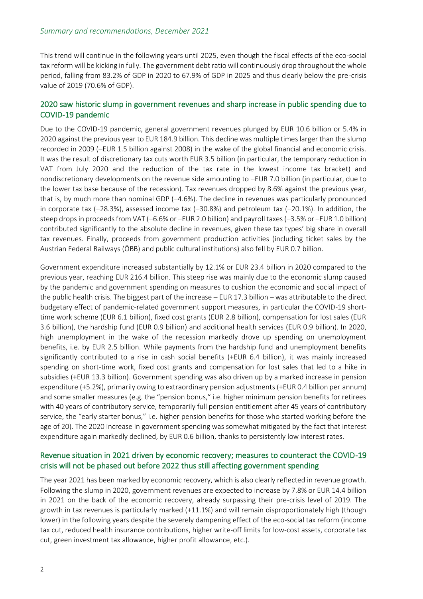This trend will continue in the following years until 2025, even though the fiscal effects of the eco-social tax reform will be kicking in fully. The government debt ratio will continuously drop throughout the whole period, falling from 83.2% of GDP in 2020 to 67.9% of GDP in 2025 and thus clearly below the pre-crisis value of 2019 (70.6% of GDP).

#### 2020 saw historic slump in government revenues and sharp increase in public spending due to COVID-19 pandemic

Due to the COVID-19 pandemic, general government revenues plunged by EUR 10.6 billion or 5.4% in 2020 against the previous year to EUR 184.9 billion. This decline was multiple times larger than the slump recorded in 2009 (–EUR 1.5 billion against 2008) in the wake of the global financial and economic crisis. It was the result of discretionary tax cuts worth EUR 3.5 billion (in particular, the temporary reduction in VAT from July 2020 and the reduction of the tax rate in the lowest income tax bracket) and nondiscretionary developments on the revenue side amounting to –EUR 7.0 billion (in particular, due to the lower tax base because of the recession). Tax revenues dropped by 8.6% against the previous year, that is, by much more than nominal GDP (–4.6%). The decline in revenues was particularly pronounced in corporate tax (–28.3%), assessed income tax (–30.8%) and petroleum tax (–20.1%). In addition, the steep drops in proceeds from VAT (–6.6% or –EUR 2.0 billion) and payroll taxes (–3.5% or –EUR 1.0 billion) contributed significantly to the absolute decline in revenues, given these tax types' big share in overall tax revenues. Finally, proceeds from government production activities (including ticket sales by the Austrian Federal Railways (ÖBB) and public cultural institutions) also fell by EUR 0.7 billion.

Government expenditure increased substantially by 12.1% or EUR 23.4 billion in 2020 compared to the previous year, reaching EUR 216.4 billion. This steep rise was mainly due to the economic slump caused by the pandemic and government spending on measures to cushion the economic and social impact of the public health crisis. The biggest part of the increase – EUR 17.3 billion – was attributable to the direct budgetary effect of pandemic-related government support measures, in particular the COVID-19 shorttime work scheme (EUR 6.1 billion), fixed cost grants (EUR 2.8 billion), compensation for lost sales (EUR 3.6 billion), the hardship fund (EUR 0.9 billion) and additional health services (EUR 0.9 billion). In 2020, high unemployment in the wake of the recession markedly drove up spending on unemployment benefits, i.e. by EUR 2.5 billion. While payments from the hardship fund and unemployment benefits significantly contributed to a rise in cash social benefits (+EUR 6.4 billion), it was mainly increased spending on short-time work, fixed cost grants and compensation for lost sales that led to a hike in subsidies (+EUR 13.3 billion). Government spending was also driven up by a marked increase in pension expenditure (+5.2%), primarily owing to extraordinary pension adjustments (+EUR 0.4 billion per annum) and some smaller measures (e.g. the "pension bonus," i.e. higher minimum pension benefits for retirees with 40 years of contributory service, temporarily full pension entitlement after 45 years of contributory service, the "early starter bonus," i.e. higher pension benefits for those who started working before the age of 20). The 2020 increase in government spending was somewhat mitigated by the fact that interest expenditure again markedly declined, by EUR 0.6 billion, thanks to persistently low interest rates.

#### Revenue situation in 2021 driven by economic recovery; measures to counteract the COVID-19 crisis will not be phased out before 2022 thus still affecting government spending

The year 2021 has been marked by economic recovery, which is also clearly reflected in revenue growth. Following the slump in 2020, government revenues are expected to increase by 7.8% or EUR 14.4 billion in 2021 on the back of the economic recovery, already surpassing their pre-crisis level of 2019. The growth in tax revenues is particularly marked (+11.1%) and will remain disproportionately high (though lower) in the following years despite the severely dampening effect of the eco-social tax reform (income tax cut, reduced health insurance contributions, higher write-off limits for low-cost assets, corporate tax cut, green investment tax allowance, higher profit allowance, etc.).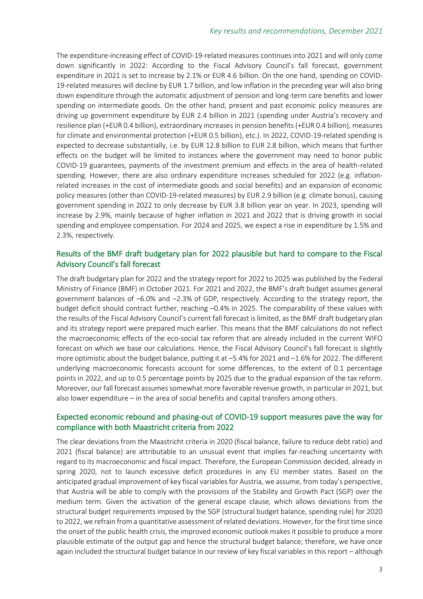The expenditure-increasing effect of COVID-19-related measures continues into 2021 and will only come down significantly in 2022: According to the Fiscal Advisory Council's fall forecast, government expenditure in 2021 is set to increase by 2.1% or EUR 4.6 billion. On the one hand, spending on COVID-19-related measures will decline by EUR 1.7 billion, and low inflation in the preceding year will also bring down expenditure through the automatic adjustment of pension and long-term care benefits and lower spending on intermediate goods. On the other hand, present and past economic policy measures are driving up government expenditure by EUR 2.4 billion in 2021 (spending under Austria's recovery and resilience plan (+EUR 0.4 billion), extraordinary increases in pension benefits (+EUR 0.4 billion), measures for climate and environmental protection (+EUR 0.5 billion), etc.). In 2022, COVID-19-related spending is expected to decrease substantially, i.e. by EUR 12.8 billion to EUR 2.8 billion, which means that further effects on the budget will be limited to instances where the government may need to honor public COVID-19 guarantees, payments of the investment premium and effects in the area of health-related spending. However, there are also ordinary expenditure increases scheduled for 2022 (e.g. inflationrelated increases in the cost of intermediate goods and social benefits) and an expansion of economic policy measures (other than COVID-19-related measures) by EUR 2.9 billion (e.g. climate bonus), causing government spending in 2022 to only decrease by EUR 3.8 billion year on year. In 2023, spending will increase by 2.9%, mainly because of higher inflation in 2021 and 2022 that is driving growth in social spending and employee compensation. For 2024 and 2025, we expect a rise in expenditure by 1.5% and 2.3%, respectively.

#### Results of the BMF draft budgetary plan for 2022 plausible but hard to compare to the Fiscal Advisory Council's fall forecast

The draft budgetary plan for 2022 and the strategy report for 2022 to 2025 was published by the Federal Ministry of Finance (BMF) in October 2021. For 2021 and 2022, the BMF's draft budget assumes general government balances of –6.0% and –2.3% of GDP, respectively. According to the strategy report, the budget deficit should contract further, reaching –0.4% in 2025. The comparability of these values with the results of the Fiscal Advisory Council's current fall forecast is limited, as the BMF draft budgetary plan and its strategy report were prepared much earlier. This means that the BMF calculations do not reflect the macroeconomic effects of the eco-social tax reform that are already included in the current WIFO forecast on which we base our calculations. Hence, the Fiscal Advisory Council's fall forecast is slightly more optimistic about the budget balance, putting it at –5.4% for 2021 and –1.6% for 2022. The different underlying macroeconomic forecasts account for some differences, to the extent of 0.1 percentage points in 2022, and up to 0.5 percentage points by 2025 due to the gradual expansion of the tax reform. Moreover, our fall forecast assumes somewhat more favorable revenue growth, in particular in 2021, but also lower expenditure – in the area of social benefits and capital transfers among others.

## Expected economic rebound and phasing-out of COVID-19 support measures pave the way for compliance with both Maastricht criteria from 2022

The clear deviations from the Maastricht criteria in 2020 (fiscal balance, failure to reduce debt ratio) and 2021 (fiscal balance) are attributable to an unusual event that implies far-reaching uncertainty with regard to its macroeconomic and fiscal impact. Therefore, the European Commission decided, already in spring 2020, not to launch excessive deficit procedures in any EU member states. Based on the anticipated gradual improvement of key fiscal variables for Austria, we assume, from today's perspective, that Austria will be able to comply with the provisions of the Stability and Growth Pact (SGP) over the medium term. Given the activation of the general escape clause, which allows deviations from the structural budget requirements imposed by the SGP (structural budget balance, spending rule) for 2020 to 2022, we refrain from a quantitative assessment of related deviations. However, for the first time since the onset of the public health crisis, the improved economic outlook makes it possible to produce a more plausible estimate of the output gap and hence the structural budget balance; therefore, we have once again included the structural budget balance in our review of key fiscal variables in this report – although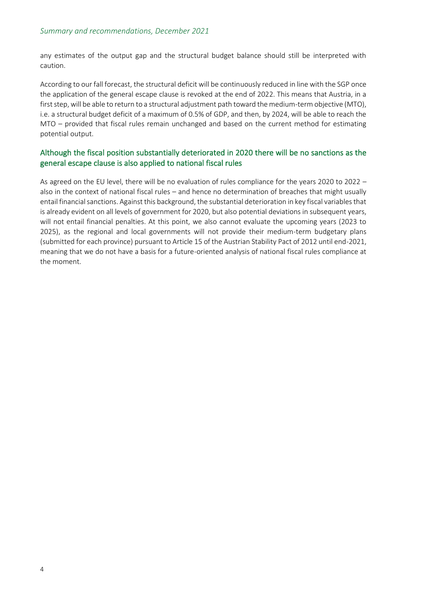any estimates of the output gap and the structural budget balance should still be interpreted with caution.

According to our fall forecast, the structural deficit will be continuously reduced in line with the SGP once the application of the general escape clause is revoked at the end of 2022. This means that Austria, in a first step, will be able to return to a structural adjustment path toward the medium-term objective (MTO), i.e. a structural budget deficit of a maximum of 0.5% of GDP, and then, by 2024, will be able to reach the MTO – provided that fiscal rules remain unchanged and based on the current method for estimating potential output.

## Although the fiscal position substantially deteriorated in 2020 there will be no sanctions as the general escape clause is also applied to national fiscal rules

As agreed on the EU level, there will be no evaluation of rules compliance for the years 2020 to 2022 – also in the context of national fiscal rules – and hence no determination of breaches that might usually entail financial sanctions. Against this background, the substantial deterioration in key fiscal variables that is already evident on all levels of government for 2020, but also potential deviations in subsequent years, will not entail financial penalties. At this point, we also cannot evaluate the upcoming years (2023 to 2025), as the regional and local governments will not provide their medium-term budgetary plans (submitted for each province) pursuant to Article 15 of the Austrian Stability Pact of 2012 until end-2021, meaning that we do not have a basis for a future-oriented analysis of national fiscal rules compliance at the moment.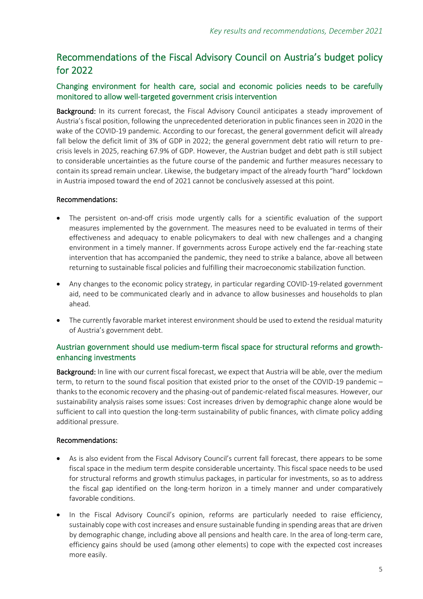## Recommendations of the Fiscal Advisory Council on Austria's budget policy for 2022

## Changing environment for health care, social and economic policies needs to be carefully monitored to allow well-targeted government crisis intervention

Background: In its current forecast, the Fiscal Advisory Council anticipates a steady improvement of Austria's fiscal position, following the unprecedented deterioration in public finances seen in 2020 in the wake of the COVID-19 pandemic. According to our forecast, the general government deficit will already fall below the deficit limit of 3% of GDP in 2022; the general government debt ratio will return to precrisis levels in 2025, reaching 67.9% of GDP. However, the Austrian budget and debt path is still subject to considerable uncertainties as the future course of the pandemic and further measures necessary to contain its spread remain unclear. Likewise, the budgetary impact of the already fourth "hard" lockdown in Austria imposed toward the end of 2021 cannot be conclusively assessed at this point.

#### Recommendations:

- The persistent on-and-off crisis mode urgently calls for a scientific evaluation of the support measures implemented by the government. The measures need to be evaluated in terms of their effectiveness and adequacy to enable policymakers to deal with new challenges and a changing environment in a timely manner. If governments across Europe actively end the far-reaching state intervention that has accompanied the pandemic, they need to strike a balance, above all between returning to sustainable fiscal policies and fulfilling their macroeconomic stabilization function.
- Any changes to the economic policy strategy, in particular regarding COVID-19-related government aid, need to be communicated clearly and in advance to allow businesses and households to plan ahead.
- The currently favorable market interest environment should be used to extend the residual maturity of Austria's government debt.

## Austrian government should use medium-term fiscal space for structural reforms and growthenhancing investments

Background: In line with our current fiscal forecast, we expect that Austria will be able, over the medium term, to return to the sound fiscal position that existed prior to the onset of the COVID-19 pandemic – thanks to the economic recovery and the phasing-out of pandemic-related fiscal measures. However, our sustainability analysis raises some issues: Cost increases driven by demographic change alone would be sufficient to call into question the long-term sustainability of public finances, with climate policy adding additional pressure.

#### Recommendations:

- As is also evident from the Fiscal Advisory Council's current fall forecast, there appears to be some fiscal space in the medium term despite considerable uncertainty. This fiscal space needs to be used for structural reforms and growth stimulus packages, in particular for investments, so as to address the fiscal gap identified on the long-term horizon in a timely manner and under comparatively favorable conditions.
- In the Fiscal Advisory Council's opinion, reforms are particularly needed to raise efficiency, sustainably cope with cost increases and ensure sustainable funding in spending areas that are driven by demographic change, including above all pensions and health care. In the area of long-term care, efficiency gains should be used (among other elements) to cope with the expected cost increases more easily.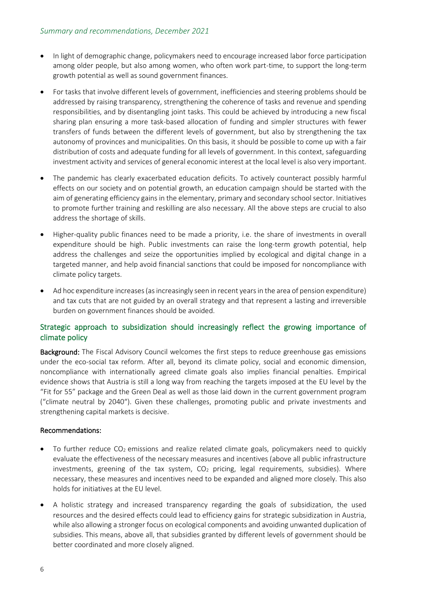- In light of demographic change, policymakers need to encourage increased labor force participation among older people, but also among women, who often work part-time, to support the long-term growth potential as well as sound government finances.
- For tasks that involve different levels of government, inefficiencies and steering problems should be addressed by raising transparency, strengthening the coherence of tasks and revenue and spending responsibilities, and by disentangling joint tasks. This could be achieved by introducing a new fiscal sharing plan ensuring a more task-based allocation of funding and simpler structures with fewer transfers of funds between the different levels of government, but also by strengthening the tax autonomy of provinces and municipalities. On this basis, it should be possible to come up with a fair distribution of costs and adequate funding for all levels of government. In this context, safeguarding investment activity and services of general economic interest at the local level is also very important.
- The pandemic has clearly exacerbated education deficits. To actively counteract possibly harmful effects on our society and on potential growth, an education campaign should be started with the aim of generating efficiency gains in the elementary, primary and secondary school sector. Initiatives to promote further training and reskilling are also necessary. All the above steps are crucial to also address the shortage of skills.
- Higher-quality public finances need to be made a priority, i.e. the share of investments in overall expenditure should be high. Public investments can raise the long-term growth potential, help address the challenges and seize the opportunities implied by ecological and digital change in a targeted manner, and help avoid financial sanctions that could be imposed for noncompliance with climate policy targets.
- Ad hoc expenditure increases (as increasingly seen in recent years in the area of pension expenditure) and tax cuts that are not guided by an overall strategy and that represent a lasting and irreversible burden on government finances should be avoided.

## Strategic approach to subsidization should increasingly reflect the growing importance of climate policy

Background: The Fiscal Advisory Council welcomes the first steps to reduce greenhouse gas emissions under the eco-social tax reform. After all, beyond its climate policy, social and economic dimension, noncompliance with internationally agreed climate goals also implies financial penalties. Empirical evidence shows that Austria is still a long way from reaching the targets imposed at the EU level by the "Fit for 55" package and the Green Deal as well as those laid down in the current government program ("climate neutral by 2040"). Given these challenges, promoting public and private investments and strengthening capital markets is decisive.

#### Recommendations:

- To further reduce  $CO<sub>2</sub>$  emissions and realize related climate goals, policymakers need to quickly evaluate the effectiveness of the necessary measures and incentives (above all public infrastructure investments, greening of the tax system,  $CO<sub>2</sub>$  pricing, legal requirements, subsidies). Where necessary, these measures and incentives need to be expanded and aligned more closely. This also holds for initiatives at the EU level.
- A holistic strategy and increased transparency regarding the goals of subsidization, the used resources and the desired effects could lead to efficiency gains for strategic subsidization in Austria, while also allowing a stronger focus on ecological components and avoiding unwanted duplication of subsidies. This means, above all, that subsidies granted by different levels of government should be better coordinated and more closely aligned.